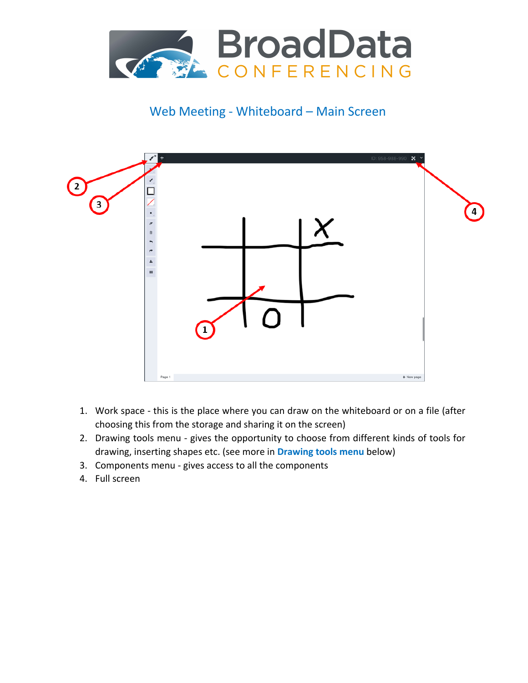

## Web Meeting - Whiteboard – Main Screen



- 1. Work space this is the place where you can draw on the whiteboard or on a file (after choosing this from the storage and sharing it on the screen)
- 2. Drawing tools menu gives the opportunity to choose from different kinds of tools for drawing, inserting shapes etc. (see more in **Drawing tools menu** below)
- 3. Components menu gives access to all the components
- 4. Full screen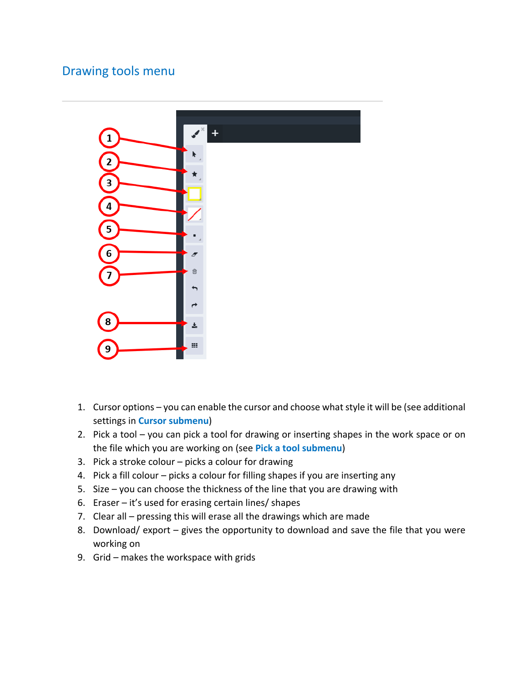## Drawing tools menu



- 1. Cursor options you can enable the cursor and choose what style it will be (see additional settings in **Cursor submenu**)
- 2. Pick a tool you can pick a tool for drawing or inserting shapes in the work space or on the file which you are working on (see **Pick a tool submenu**)
- 3. Pick a stroke colour picks a colour for drawing
- 4. Pick a fill colour picks a colour for filling shapes if you are inserting any
- 5. Size you can choose the thickness of the line that you are drawing with
- 6. Eraser it's used for erasing certain lines/ shapes
- 7. Clear all pressing this will erase all the drawings which are made
- 8. Download/ export gives the opportunity to download and save the file that you were working on
- 9. Grid makes the workspace with grids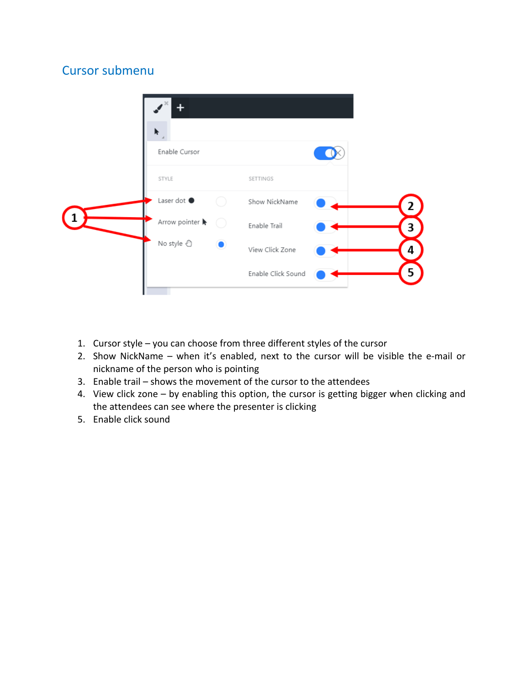## Cursor submenu

| $\ddot{}$<br>▶        |                    |                |
|-----------------------|--------------------|----------------|
| Enable Cursor         |                    |                |
| STYLE                 | SETTINGS           |                |
| Laser dot $\bullet$   | Show NickName      | 2              |
| Arrow pointer         | Enable Trail       | 3              |
| No style <sup>@</sup> | View Click Zone    | 4              |
|                       | Enable Click Sound | $\overline{5}$ |

- 1. Cursor style you can choose from three different styles of the cursor
- 2. Show NickName when it's enabled, next to the cursor will be visible the e-mail or nickname of the person who is pointing
- 3. Enable trail shows the movement of the cursor to the attendees
- 4. View click zone by enabling this option, the cursor is getting bigger when clicking and the attendees can see where the presenter is clicking
- 5. Enable click sound